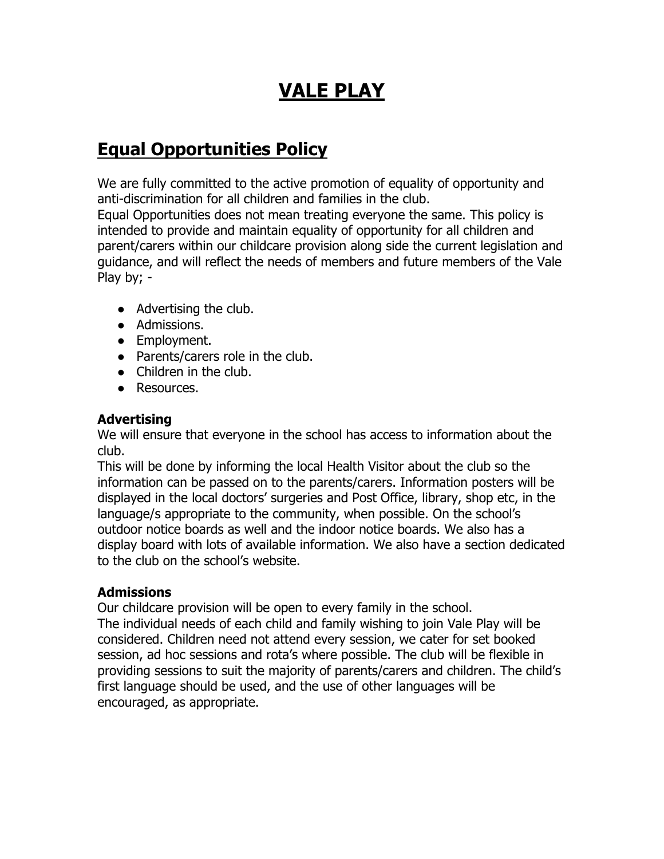# **VALE PLAY**

## **Equal Opportunities Policy**

We are fully committed to the active promotion of equality of opportunity and anti-discrimination for all children and families in the club.

Equal Opportunities does not mean treating everyone the same. This policy is intended to provide and maintain equality of opportunity for all children and parent/carers within our childcare provision along side the current legislation and guidance, and will reflect the needs of members and future members of the Vale Play by; -

- Advertising the club.
- Admissions.
- Employment.
- Parents/carers role in the club.
- Children in the club.
- Resources.

#### **Advertising**

We will ensure that everyone in the school has access to information about the club.

This will be done by informing the local Health Visitor about the club so the information can be passed on to the parents/carers. Information posters will be displayed in the local doctors' surgeries and Post Office, library, shop etc, in the language/s appropriate to the community, when possible. On the school's outdoor notice boards as well and the indoor notice boards. We also has a display board with lots of available information. We also have a section dedicated to the club on the school's website.

#### **Admissions**

Our childcare provision will be open to every family in the school. The individual needs of each child and family wishing to join Vale Play will be considered. Children need not attend every session, we cater for set booked session, ad hoc sessions and rota's where possible. The club will be flexible in providing sessions to suit the majority of parents/carers and children. The child's first language should be used, and the use of other languages will be encouraged, as appropriate.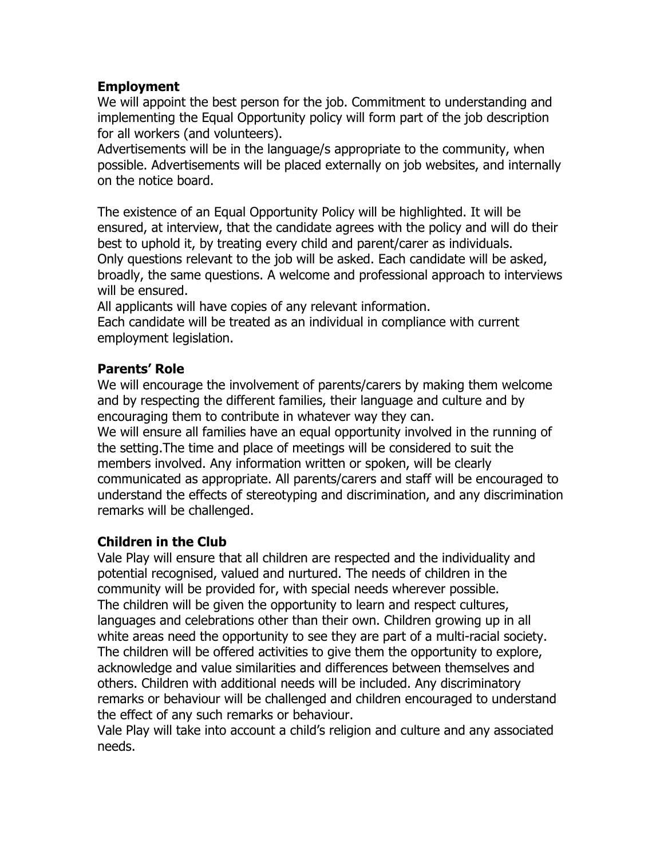#### **Employment**

We will appoint the best person for the job. Commitment to understanding and implementing the Equal Opportunity policy will form part of the job description for all workers (and volunteers).

Advertisements will be in the language/s appropriate to the community, when possible. Advertisements will be placed externally on job websites, and internally on the notice board.

The existence of an Equal Opportunity Policy will be highlighted. It will be ensured, at interview, that the candidate agrees with the policy and will do their best to uphold it, by treating every child and parent/carer as individuals. Only questions relevant to the job will be asked. Each candidate will be asked, broadly, the same questions. A welcome and professional approach to interviews will be ensured.

All applicants will have copies of any relevant information.

Each candidate will be treated as an individual in compliance with current employment legislation.

#### **Parents' Role**

We will encourage the involvement of parents/carers by making them welcome and by respecting the different families, their language and culture and by encouraging them to contribute in whatever way they can.

We will ensure all families have an equal opportunity involved in the running of the setting.The time and place of meetings will be considered to suit the members involved. Any information written or spoken, will be clearly communicated as appropriate. All parents/carers and staff will be encouraged to understand the effects of stereotyping and discrimination, and any discrimination remarks will be challenged.

### **Children in the Club**

Vale Play will ensure that all children are respected and the individuality and potential recognised, valued and nurtured. The needs of children in the community will be provided for, with special needs wherever possible. The children will be given the opportunity to learn and respect cultures, languages and celebrations other than their own. Children growing up in all white areas need the opportunity to see they are part of a multi-racial society. The children will be offered activities to give them the opportunity to explore, acknowledge and value similarities and differences between themselves and others. Children with additional needs will be included. Any discriminatory remarks or behaviour will be challenged and children encouraged to understand the effect of any such remarks or behaviour.

Vale Play will take into account a child's religion and culture and any associated needs.